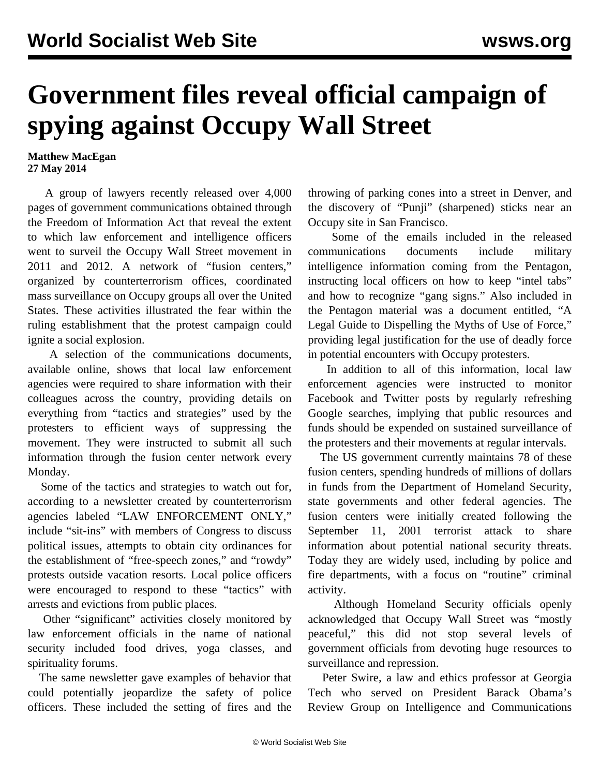## **Government files reveal official campaign of spying against Occupy Wall Street**

## **Matthew MacEgan 27 May 2014**

 A group of lawyers recently released over 4,000 pages of government communications obtained through the Freedom of Information Act that reveal the extent to which law enforcement and intelligence officers went to surveil the Occupy Wall Street movement in 2011 and 2012. A network of "fusion centers," organized by counterterrorism offices, coordinated mass surveillance on Occupy groups all over the United States. These activities illustrated the fear within the ruling establishment that the protest campaign could ignite a social explosion.

 A selection of the communications documents, available online, shows that local law enforcement agencies were required to share information with their colleagues across the country, providing details on everything from "tactics and strategies" used by the protesters to efficient ways of suppressing the movement. They were instructed to submit all such information through the fusion center network every Monday.

 Some of the tactics and strategies to watch out for, according to a newsletter created by counterterrorism agencies labeled "LAW ENFORCEMENT ONLY," include "sit-ins" with members of Congress to discuss political issues, attempts to obtain city ordinances for the establishment of "free-speech zones," and "rowdy" protests outside vacation resorts. Local police officers were encouraged to respond to these "tactics" with arrests and evictions from public places.

 Other "significant" activities closely monitored by law enforcement officials in the name of national security included food drives, yoga classes, and spirituality forums.

 The same newsletter gave examples of behavior that could potentially jeopardize the safety of police officers. These included the setting of fires and the throwing of parking cones into a street in Denver, and the discovery of "Punji" (sharpened) sticks near an Occupy site in San Francisco.

 Some of the emails included in the released communications documents include military intelligence information coming from the Pentagon, instructing local officers on how to keep "intel tabs" and how to recognize "gang signs." Also included in the Pentagon material was a document entitled, "A Legal Guide to Dispelling the Myths of Use of Force," providing legal justification for the use of deadly force in potential encounters with Occupy protesters.

 In addition to all of this information, local law enforcement agencies were instructed to monitor Facebook and Twitter posts by regularly refreshing Google searches, implying that public resources and funds should be expended on sustained surveillance of the protesters and their movements at regular intervals.

 The US government currently maintains 78 of these fusion centers, spending hundreds of millions of dollars in funds from the Department of Homeland Security, state governments and other federal agencies. The fusion centers were initially created following the September 11, 2001 terrorist attack to share information about potential national security threats. Today they are widely used, including by police and fire departments, with a focus on "routine" criminal activity.

 Although Homeland Security officials openly acknowledged that Occupy Wall Street was "mostly peaceful," this did not stop several levels of government officials from devoting huge resources to surveillance and repression.

 Peter Swire, a law and ethics professor at Georgia Tech who served on President Barack Obama's Review Group on Intelligence and Communications